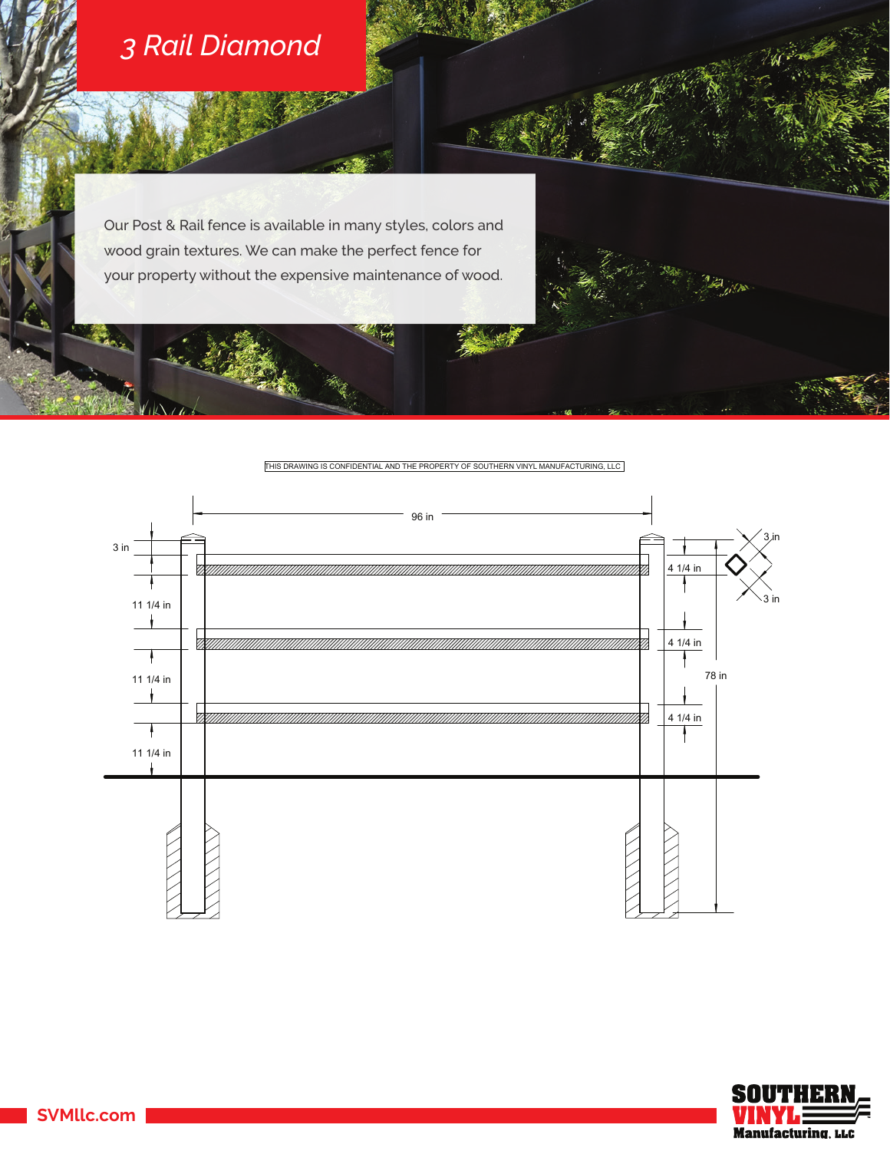

Our Post & Rail fence is available in many styles, colors and wood grain textures. We can make the perfect fence for your property without the expensive maintenance of wood.

THIS DRAWING IS CONFIDENTIAL AND THE PROPERTY OF SOUTHERN VINYL MANUFACTURING, LLC